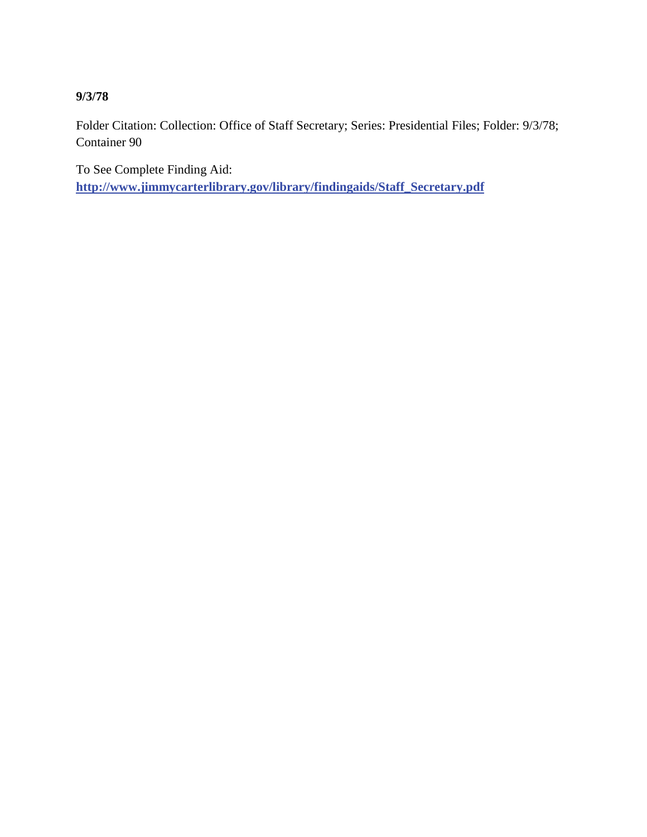**9/3/78** 

Folder Citation: Collection: Office of Staff Secretary; Series: Presidential Files; Folder: 9/3/78; Container 90

To See Complete Finding Aid: **[http://www.jimmycarterlibrary.gov/library/findingaids/Staff\\_Secretary.pdf](http://www.jimmycarterlibrary.gov/library/findingaids/Staff_Secretary.pdf)**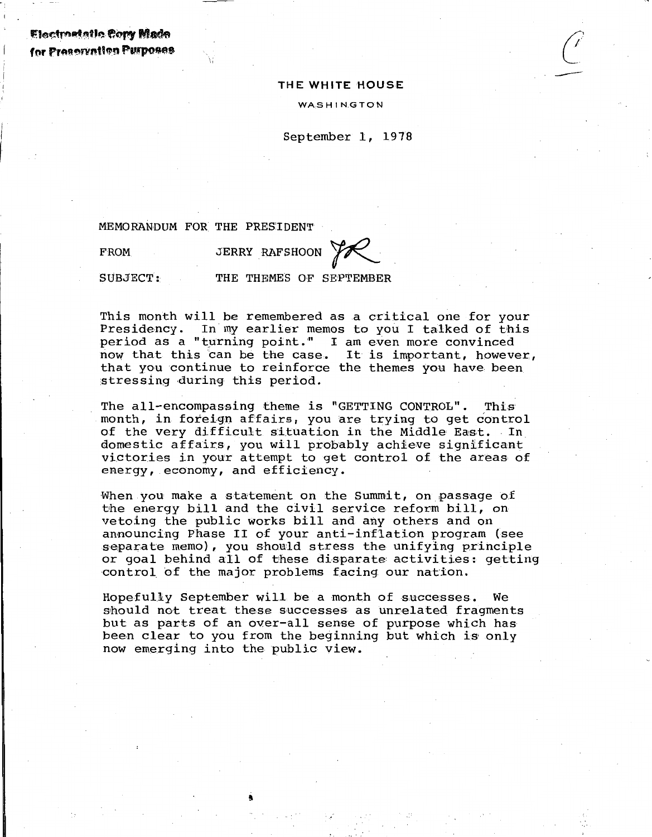Electromale Copy Made for Preservation Purposes

#### THE WHITE HOUSE

 $\left(\frac{1}{\epsilon}\right)^{2}$ 

WAS HINGTON

September 1, 1978

MEMORANDUM FOR THE PRES'IDENT

--,,

FROM

JERRY RAFSHOON ~

SUBJECT:

THE THEMES OF SEPTEMBER

This month will be remembered as a critical one for your Presidency. In my earlier memos to you I talked of this period as a "turning point." I am even more convinced now that this can be the case. It is important, however, that you continue to reinforce the themes you have been stressing during this period.

The all-encompassing theme is "GETTING CONTROL". This month, in foreign affairs, you are trying to get control of the very difficult situation in the Middle East. In domestic affairs, you will probably achieve significant victories in your attempt to get control of the areas of energy, economy, and efficiency.

When you make a statement on the Summit, on passage of the energy bill and the civil service reform bill, on vetoing the public works bill and any others and on announcing Phase II of your anti-inflation program (see separate memo), you showld stress the unifying principle or goal behind all of these disparate: activities: getting control of the major problems facing our nation.

Hopefully September will be a month of successes. We should not treat these successes as unrelated fragments but as parts of an over-all sense of purpose which has been clear to you from the beginning but which is only now emerging into the public view.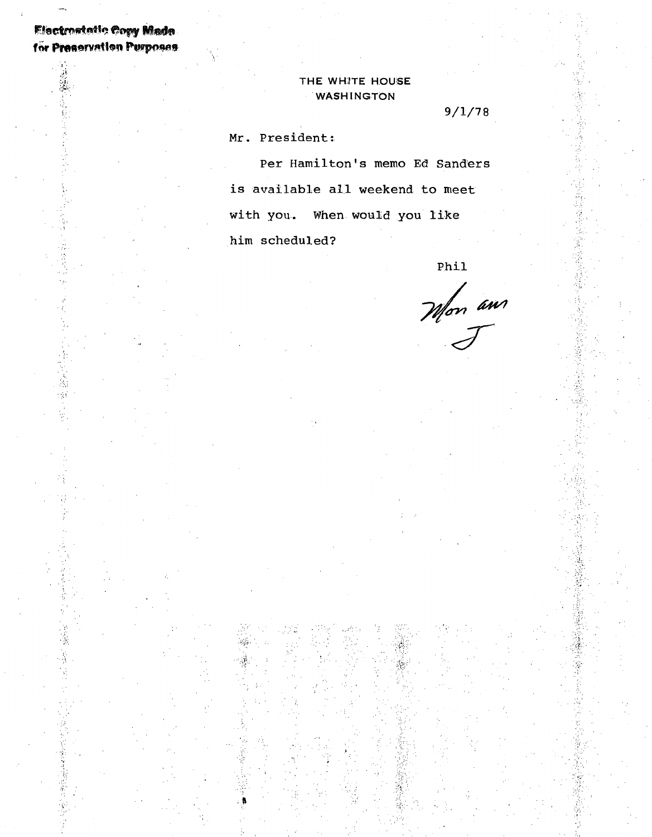# **Electronistic Copy Made** for Preservation Purposes

言言

 $\cdot$  :

 $\frac{1}{\sqrt{2}}$ 

28月1日

 $\frac{1}{2}\frac{1}{3}$ ģ,

> $\mathcal{D}$ Ķ ý,

高さ

## THE WHITE HOUSE **WASHINGTON**

 $9/1/78$ 

Mr. President:

Per Hamilton's memo Ed Sanders is available all weekend to meet with you. When would you like him scheduled?

Phil

Mon am

ŧ,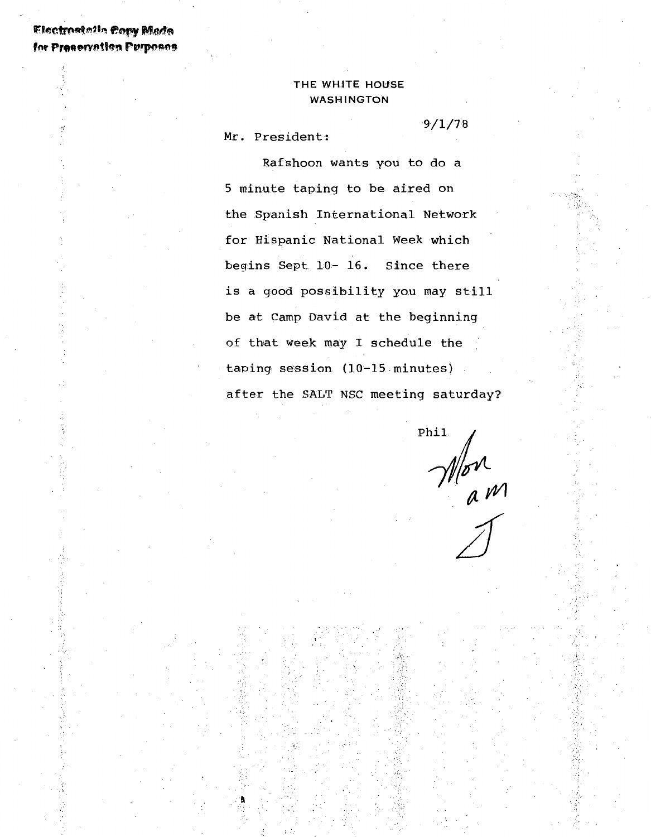# Electrostelle Copy Made for Preservation Purposes

## THE WHITE HOUSE WASHINGTON

Mr. President:

Rafshoon wants you to do a 5 minute taping to be aired on the Spanish International Network for Hispanic National Week which begins Sept 10- 16. Since there is a good possibility you may still be at Camp David at the beginning of that week may I schedule the taping session (10-15 minutes) after the SALT NSC meeting saturday?

t•"•

··.;

 $\cdot$  .  $\cdot$  ,

Phil Mon<br>am

9/1/78

*c:.-*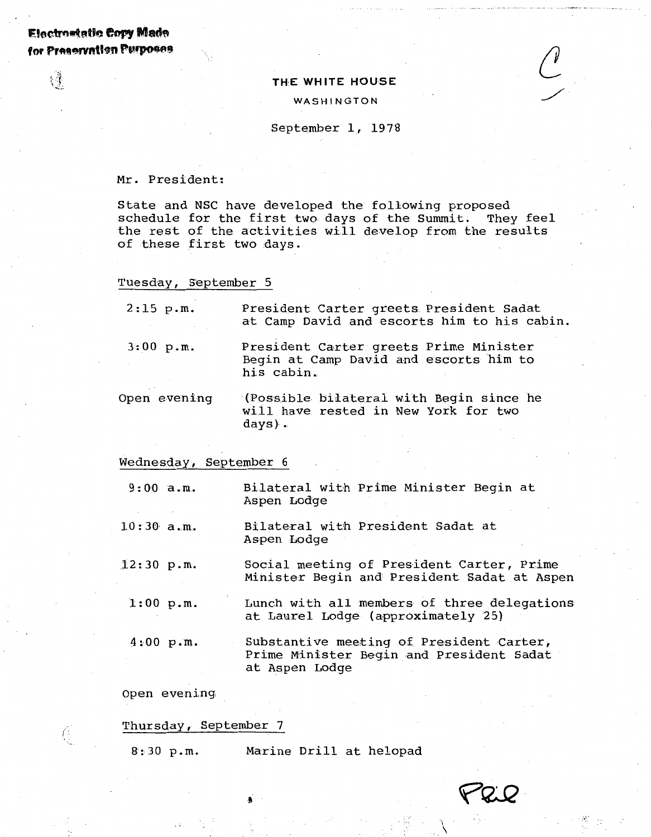# $E$ : ectromatic Copy **Made** for Preservation Purposes

 $\mathbb{R}^3$ 

#### THE WHITE HOUSE

#### WASHINGTON

#### September 1, 1978

Mr. President:

State and NSC have developed the following proposed schedule for the first two days of the Summit. They feel the rest of the activities will develop from the results of these first two days.

#### Tuesday, September 5

| $2:15$ p.m.  | President Carter greets President Sadat<br>at Camp David and escorts him to his cabin.         |
|--------------|------------------------------------------------------------------------------------------------|
| $3:00$ p.m.  | President Carter greets Prime Minister<br>Begin at Camp David and escorts him to<br>his cabin. |
| Open evening | (Possible bilateral with Begin since he<br>will have rested in New York for two<br>days).      |

#### Wednesday, September 6

9:00 a.m. Bilateral wibh Prime Minister Begin at Aspen Lodge

 $10:30$  a.m. Bilateral with President Sadat at Aspen Lodge

.12:30 p.m. Social meeting of President Carter, Prime Minister Begin and President Sadat at Aspen

1:00 p.m.

Lunch with all members of three delegations at Laurel Lodge (approximately 25)

 $\int$ 

4:00 p.m. Substantive meeting of President Carter, Prime Minister Begin and President Sadat at Aspen Lodge

Open evening,

Thursday, September 7

Ğ.

8:30 p.m. Marine Drill at helopad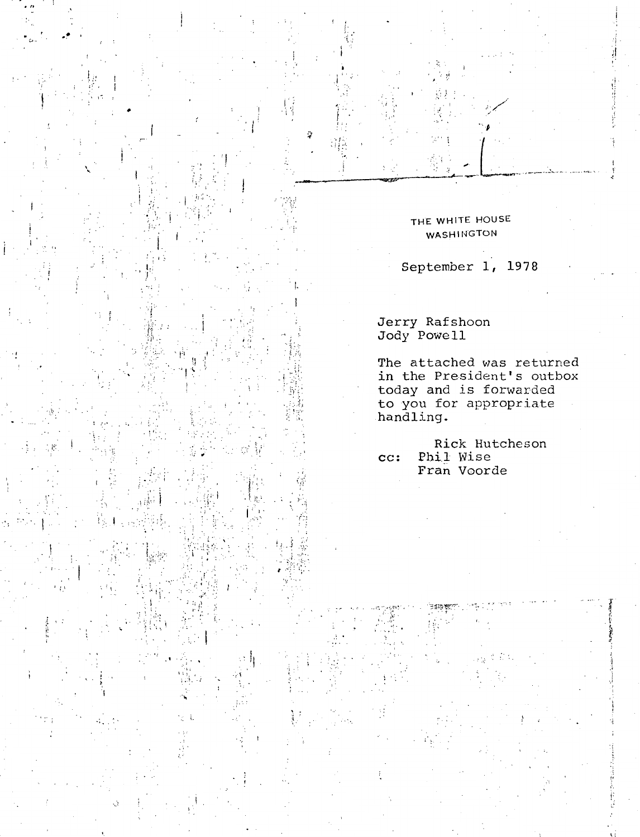### THE WHITE HOUSE **WASHINGTON**

September 1, 1978

Jerry Rafshoon<br>Jody Powell

The attached was returned<br>in the President's outbox today and is forwarded<br>to you for appropriate<br>handling.

Rick Hutcheson Phil Wise  $cc:$ Fran Voorde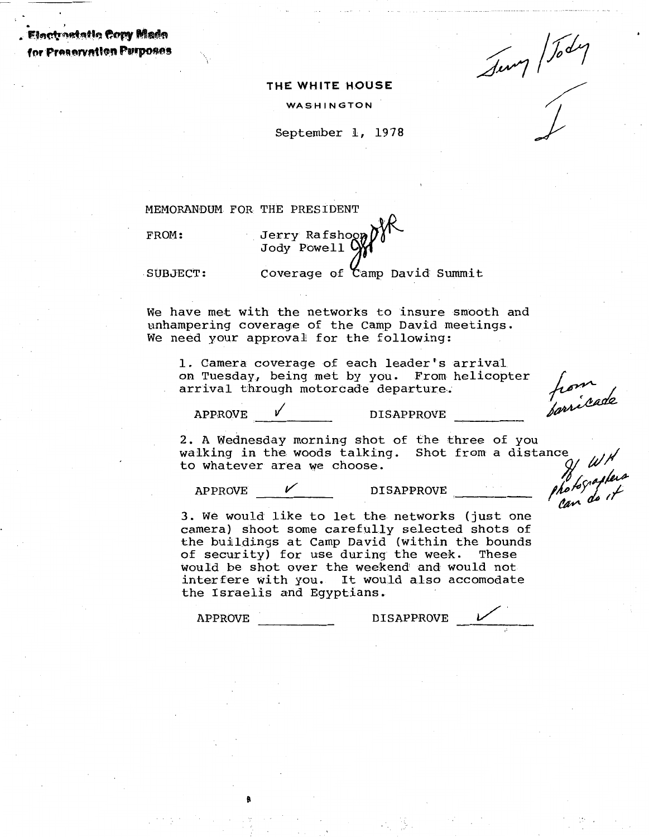. . ' . Fh•w~tri~tt., ~fPA' **M•f!t"'**  for Preservation Perposes

Jump / Jody

### **THE WHITE HOUSE**

WASHINGTON

September 1, 1978

MEMORANDUM FOR THE PRESIDENT

FROM: Jerry Rafshog Jody Powell

 $SUBJECT:$  Coverage of  $\zeta$  amp David Summit

We have met with the networks to insure smooth and unhampering coverage of the Camp David meetings. We need your approval for the following:

1. Camera coverage of each leader's arrival on Tuesday, being met by you. From helicopter arrival through motorcade departure.

from<br>forricade

APPROVE  $\checkmark$  DISAPPROVE

2. A Wednesday morning shot of the three of you walking in the woods talking. Shot from a distance to whatever area we choose.

APPROVE  $\checkmark$  DISAPPROVE

the tographer

3. We would like to let the networks (just one camera) shoot some carefully selected shots of the buildings at Camp David (within the bounds of security) for use during the week. These would be shot over the weekend and would not interfere with you. It would also accomodate the Israelis and Egyptians.

8

APPROVE DISAPPROVE  $\mathcal V$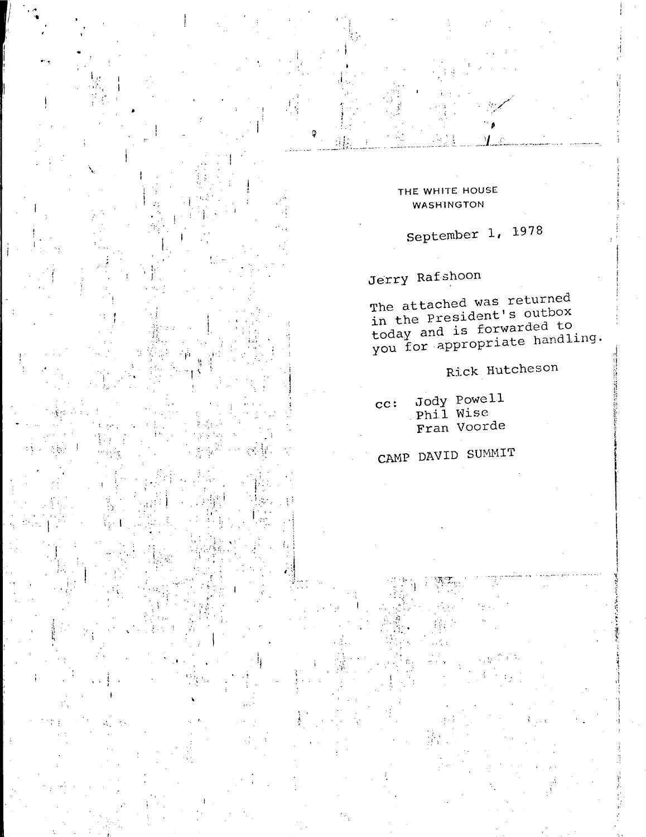THE WHITE HOUSE **WASHINGTON** 

September 1, 1978

# Jerry Rafshoon

The attached was returned in the President's outbox today and is forwarded to<br>you for appropriate handling.

Rick Hutcheson

Jody Powell<br>Phil Wise  $cc:$ Fran Voorde

# CAMP DAVID SUMMIT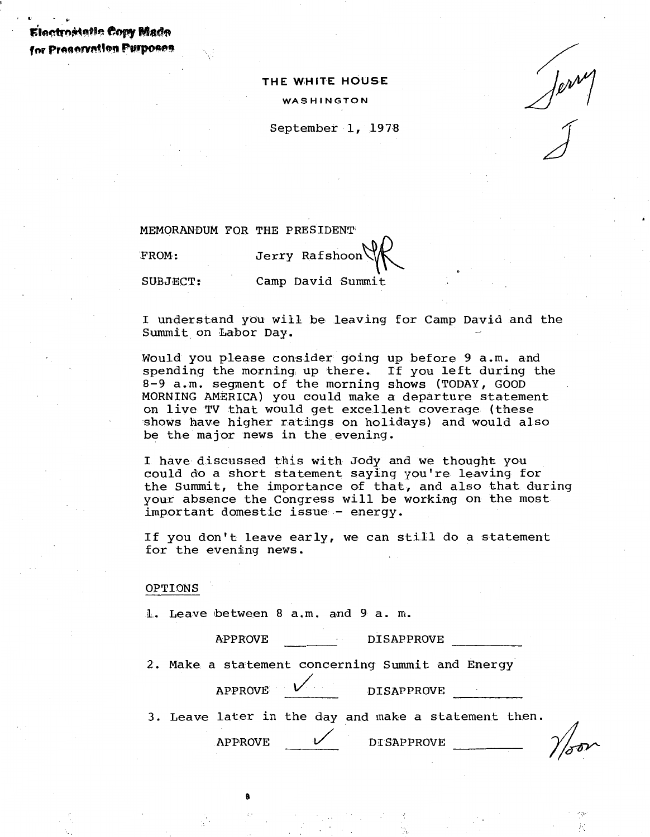t•,~~·t:•~ **\*'tlPY** Mad~ for Preservation Purposes

!' . .. .. "'

#### **THE WHITE HOUS.E**

WASHINGTON

September 1, 1978

MEMORANDUM FOR THE PRESIDENT

FROM:

Jerry Rafshoon Camp David Summit

SUBJBCT:

I understand you will be leaving for Camp David and the Summit on Labor Day.

:Would you please consider going up before 9 a.m. and spending the morning, up there. If you left during the 8-9 a.m. segment of the morning shows (TODAY, GOOD MORNING AMERICA) you could make a departure statement on live TV that would get excellent coverage (these shows have higher ratings on holidays) and would also be the major news in the evening.

I have discussed this with Jody and we thought you could do a short statement saying you're leaving for the Summit, the importance of that, and also that during your absence the Congress will be working on the most important domestic issue - energy.

If you don't leave early, we can still do a statement for the evening news.

#### OPTIONS

1. Leave between 8 a.m. and 9 a. m.

APPROVE DISAPPROVE

2. Make a statement concerning Summit and Energy

APPROVE  $V$  DISAPPROVE

3. Leave later in the day and make a statement then.

9

APPROVE DISAPPROVE

···:=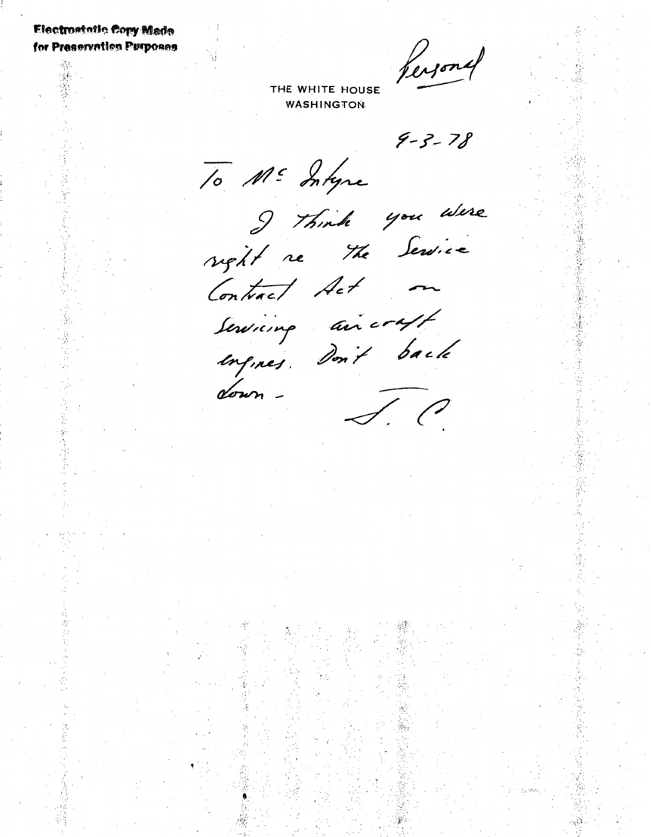# **Electrostatic Cory Made** for Preservation Purposes

Versonal

THE WHITE HOUSE **WASHINGTON** 

 $9 - 3 - 78$ 

To ME Intyre

I think you were

Contract Act -

down-

Serving aircraft<br>engines. Don't back J. C